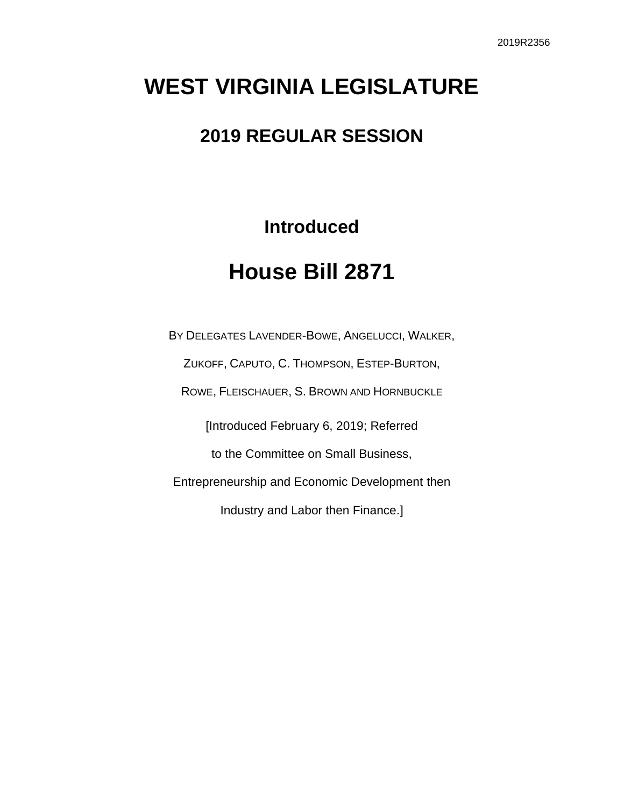# **WEST VIRGINIA LEGISLATURE**

## **2019 REGULAR SESSION**

**Introduced**

## **House Bill 2871**

BY DELEGATES LAVENDER-BOWE, ANGELUCCI, WALKER, ZUKOFF, CAPUTO, C. THOMPSON, ESTEP-BURTON, ROWE, FLEISCHAUER, S. BROWN AND HORNBUCKLE [Introduced February 6, 2019; Referred to the Committee on Small Business, Entrepreneurship and Economic Development then Industry and Labor then Finance.]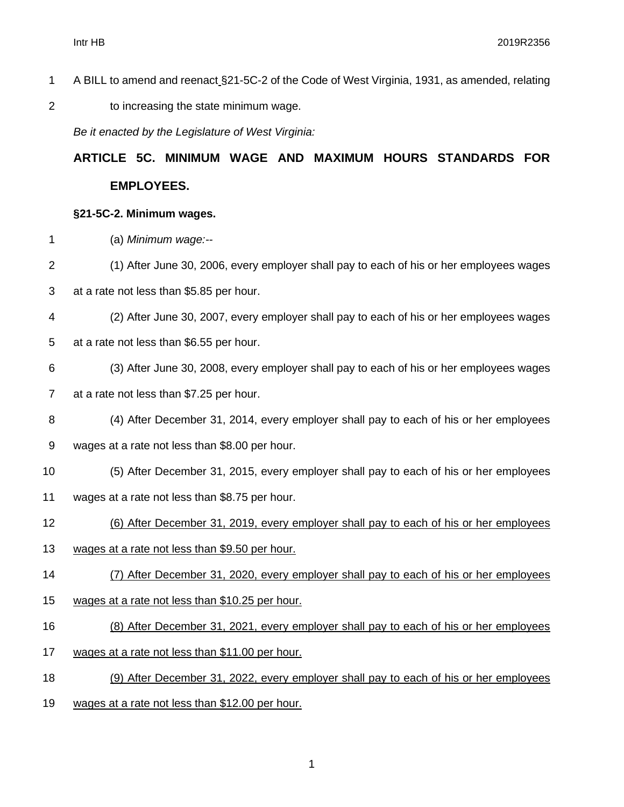- A BILL to amend and reenact §21-5C-2 of the Code of West Virginia, 1931, as amended, relating
- to increasing the state minimum wage.

*Be it enacted by the Legislature of West Virginia:*

## **ARTICLE 5C. MINIMUM WAGE AND MAXIMUM HOURS STANDARDS FOR EMPLOYEES.**

#### **§21-5C-2. Minimum wages.**

- (a) *Minimum wage:--*
- (1) After June 30, 2006, every employer shall pay to each of his or her employees wages
- at a rate not less than \$5.85 per hour.
- (2) After June 30, 2007, every employer shall pay to each of his or her employees wages
- at a rate not less than \$6.55 per hour.
- (3) After June 30, 2008, every employer shall pay to each of his or her employees wages at a rate not less than \$7.25 per hour.
- (4) After December 31, 2014, every employer shall pay to each of his or her employees
- wages at a rate not less than \$8.00 per hour.
- (5) After December 31, 2015, every employer shall pay to each of his or her employees
- wages at a rate not less than \$8.75 per hour.
- (6) After December 31, 2019, every employer shall pay to each of his or her employees
- 13 wages at a rate not less than \$9.50 per hour.
- (7) After December 31, 2020, every employer shall pay to each of his or her employees
- wages at a rate not less than \$10.25 per hour.
- (8) After December 31, 2021, every employer shall pay to each of his or her employees
- wages at a rate not less than \$11.00 per hour.
- (9) After December 31, 2022, every employer shall pay to each of his or her employees
- wages at a rate not less than \$12.00 per hour.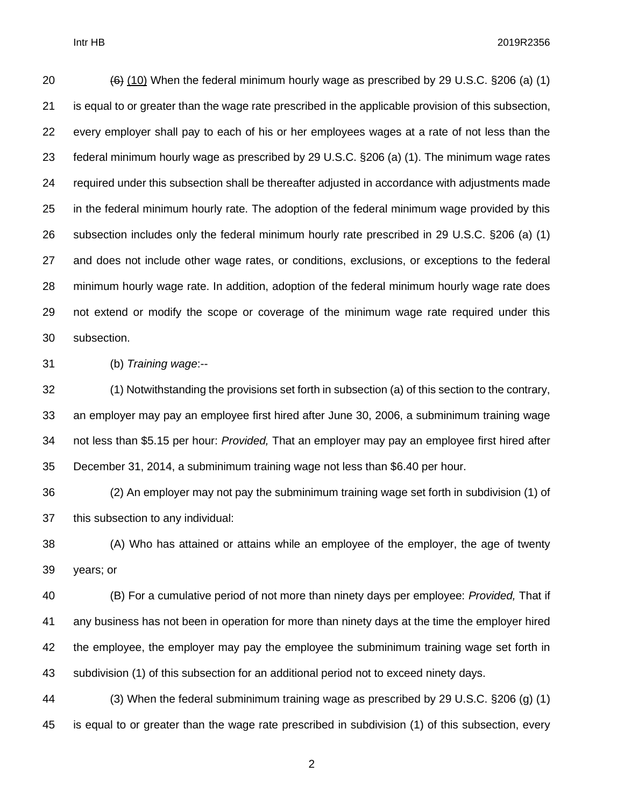Intr HB 2019R2356

 $(6)$  (10) When the federal minimum hourly wage as prescribed by 29 U.S.C. §206 (a) (1) is equal to or greater than the wage rate prescribed in the applicable provision of this subsection, every employer shall pay to each of his or her employees wages at a rate of not less than the federal minimum hourly wage as prescribed by 29 U.S.C. §206 (a) (1). The minimum wage rates required under this subsection shall be thereafter adjusted in accordance with adjustments made in the federal minimum hourly rate. The adoption of the federal minimum wage provided by this subsection includes only the federal minimum hourly rate prescribed in 29 U.S.C. §206 (a) (1) and does not include other wage rates, or conditions, exclusions, or exceptions to the federal minimum hourly wage rate. In addition, adoption of the federal minimum hourly wage rate does not extend or modify the scope or coverage of the minimum wage rate required under this subsection.

(b) *Training wage*:--

 (1) Notwithstanding the provisions set forth in subsection (a) of this section to the contrary, an employer may pay an employee first hired after June 30, 2006, a subminimum training wage not less than \$5.15 per hour: *Provided,* That an employer may pay an employee first hired after December 31, 2014, a subminimum training wage not less than \$6.40 per hour.

 (2) An employer may not pay the subminimum training wage set forth in subdivision (1) of this subsection to any individual:

 (A) Who has attained or attains while an employee of the employer, the age of twenty years; or

 (B) For a cumulative period of not more than ninety days per employee: *Provided,* That if any business has not been in operation for more than ninety days at the time the employer hired the employee, the employer may pay the employee the subminimum training wage set forth in subdivision (1) of this subsection for an additional period not to exceed ninety days.

 (3) When the federal subminimum training wage as prescribed by 29 U.S.C. §206 (g) (1) is equal to or greater than the wage rate prescribed in subdivision (1) of this subsection, every